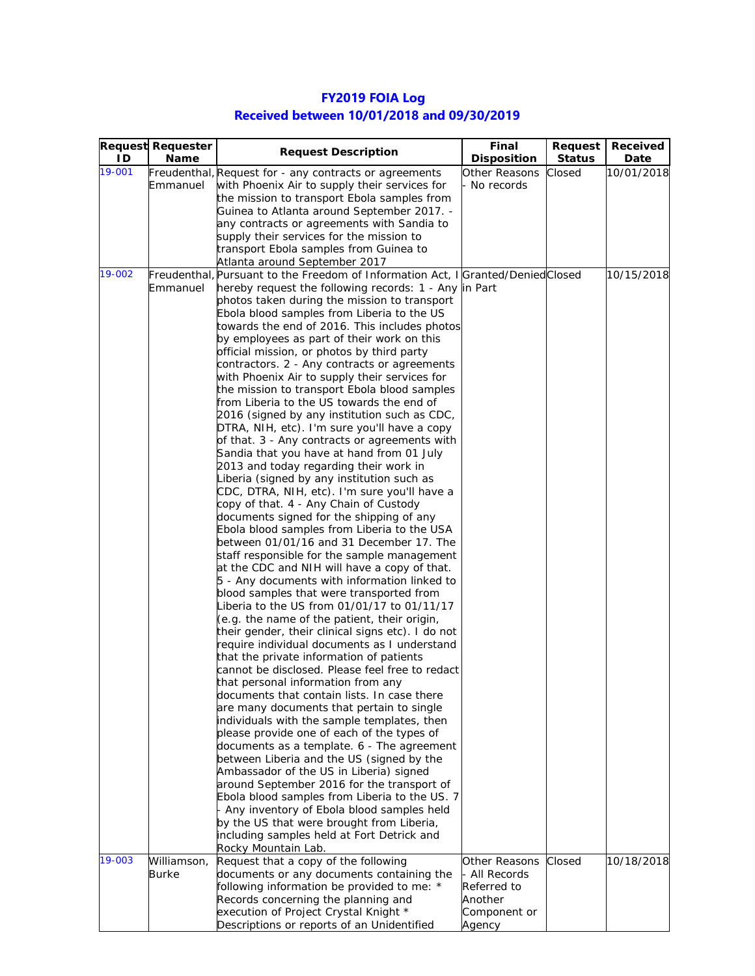|        | <b>Request Requester</b> | <b>Request Description</b>                                                                        | Final                | Request       | Received   |
|--------|--------------------------|---------------------------------------------------------------------------------------------------|----------------------|---------------|------------|
| ΙD     | Name                     |                                                                                                   | <b>Disposition</b>   | <b>Status</b> | Date       |
| 19-001 |                          | Freudenthal, Request for - any contracts or agreements                                            | <b>Other Reasons</b> | Closed        | 10/01/2018 |
|        | Emmanuel                 | with Phoenix Air to supply their services for                                                     | No records           |               |            |
|        |                          | the mission to transport Ebola samples from                                                       |                      |               |            |
|        |                          | Guinea to Atlanta around September 2017. -                                                        |                      |               |            |
|        |                          | any contracts or agreements with Sandia to<br>supply their services for the mission to            |                      |               |            |
|        |                          | transport Ebola samples from Guinea to                                                            |                      |               |            |
|        |                          | Atlanta around September 2017                                                                     |                      |               |            |
| 19-002 |                          | Freudenthal, Pursuant to the Freedom of Information Act, I Granted/Denied Closed                  |                      |               | 10/15/2018 |
|        | Emmanuel                 | hereby request the following records: 1 - Any in Part                                             |                      |               |            |
|        |                          | photos taken during the mission to transport                                                      |                      |               |            |
|        |                          | Ebola blood samples from Liberia to the US                                                        |                      |               |            |
|        |                          | towards the end of 2016. This includes photos                                                     |                      |               |            |
|        |                          | by employees as part of their work on this                                                        |                      |               |            |
|        |                          | official mission, or photos by third party                                                        |                      |               |            |
|        |                          | contractors. 2 - Any contracts or agreements                                                      |                      |               |            |
|        |                          | with Phoenix Air to supply their services for                                                     |                      |               |            |
|        |                          | the mission to transport Ebola blood samples                                                      |                      |               |            |
|        |                          | from Liberia to the US towards the end of                                                         |                      |               |            |
|        |                          | 2016 (signed by any institution such as CDC,<br>DTRA, NIH, etc). I'm sure you'll have a copy      |                      |               |            |
|        |                          | of that. 3 - Any contracts or agreements with                                                     |                      |               |            |
|        |                          | Sandia that you have at hand from 01 July                                                         |                      |               |            |
|        |                          | 2013 and today regarding their work in                                                            |                      |               |            |
|        |                          | Liberia (signed by any institution such as                                                        |                      |               |            |
|        |                          | CDC, DTRA, NIH, etc). I'm sure you'll have a                                                      |                      |               |            |
|        |                          | copy of that. 4 - Any Chain of Custody                                                            |                      |               |            |
|        |                          | documents signed for the shipping of any                                                          |                      |               |            |
|        |                          | Ebola blood samples from Liberia to the USA                                                       |                      |               |            |
|        |                          | between 01/01/16 and 31 December 17. The                                                          |                      |               |            |
|        |                          | staff responsible for the sample management                                                       |                      |               |            |
|        |                          | at the CDC and NIH will have a copy of that.                                                      |                      |               |            |
|        |                          | 5 - Any documents with information linked to                                                      |                      |               |            |
|        |                          | blood samples that were transported from                                                          |                      |               |            |
|        |                          | Liberia to the US from 01/01/17 to 01/11/17                                                       |                      |               |            |
|        |                          | (e.g. the name of the patient, their origin,                                                      |                      |               |            |
|        |                          | their gender, their clinical signs etc). I do not<br>require individual documents as I understand |                      |               |            |
|        |                          | that the private information of patients                                                          |                      |               |            |
|        |                          | cannot be disclosed. Please feel free to redact                                                   |                      |               |            |
|        |                          | that personal information from any                                                                |                      |               |            |
|        |                          | documents that contain lists. In case there                                                       |                      |               |            |
|        |                          | are many documents that pertain to single                                                         |                      |               |            |
|        |                          | individuals with the sample templates, then                                                       |                      |               |            |
|        |                          | please provide one of each of the types of                                                        |                      |               |            |
|        |                          | documents as a template. 6 - The agreement                                                        |                      |               |            |
|        |                          | between Liberia and the US (signed by the                                                         |                      |               |            |
|        |                          | Ambassador of the US in Liberia) signed                                                           |                      |               |            |
|        |                          | around September 2016 for the transport of                                                        |                      |               |            |
|        |                          | Ebola blood samples from Liberia to the US. 7                                                     |                      |               |            |
|        |                          | Any inventory of Ebola blood samples held                                                         |                      |               |            |
|        |                          | by the US that were brought from Liberia,<br>including samples held at Fort Detrick and           |                      |               |            |
|        |                          | Rocky Mountain Lab.                                                                               |                      |               |            |
| 19-003 | Williamson,              | Request that a copy of the following                                                              | Other Reasons        | Closed        | 10/18/2018 |
|        | <b>Burke</b>             | documents or any documents containing the                                                         | All Records          |               |            |
|        |                          | following information be provided to me: *                                                        | Referred to          |               |            |
|        |                          | Records concerning the planning and                                                               | Another              |               |            |
|        |                          | execution of Project Crystal Knight *                                                             | Component or         |               |            |
|        |                          | Descriptions or reports of an Unidentified                                                        | Agency               |               |            |

## **FY2019 FOIA Log Received between 10/01/2018 and 09/30/2019**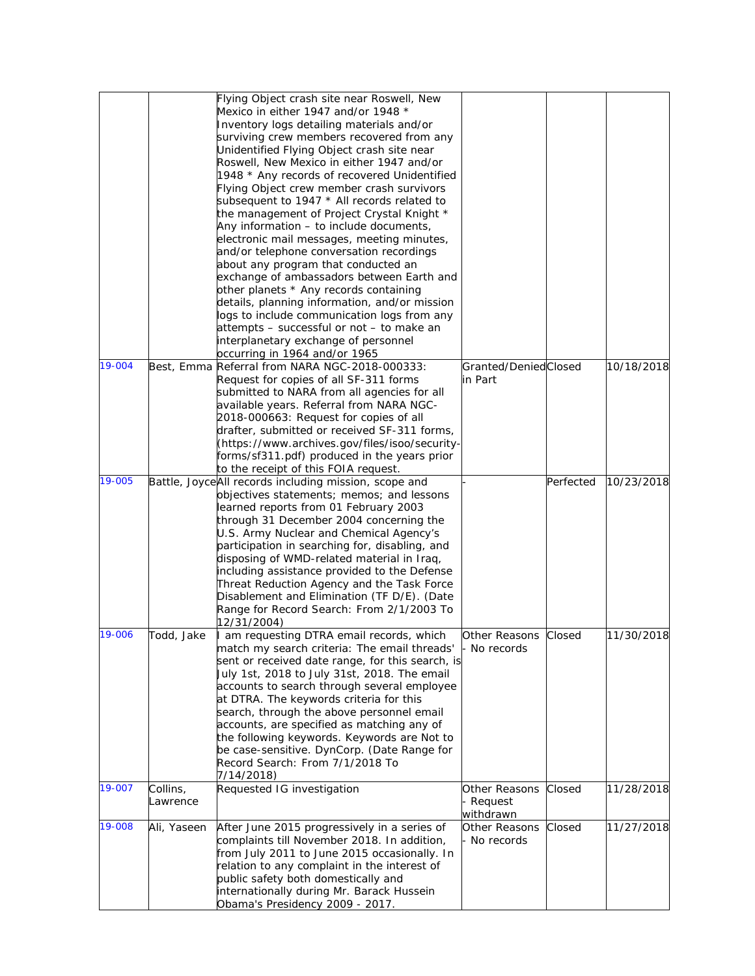|        |             | Flying Object crash site near Roswell, New            |                      |           |            |
|--------|-------------|-------------------------------------------------------|----------------------|-----------|------------|
|        |             | Mexico in either 1947 and/or 1948 *                   |                      |           |            |
|        |             | Inventory logs detailing materials and/or             |                      |           |            |
|        |             | surviving crew members recovered from any             |                      |           |            |
|        |             | Unidentified Flying Object crash site near            |                      |           |            |
|        |             | Roswell, New Mexico in either 1947 and/or             |                      |           |            |
|        |             |                                                       |                      |           |            |
|        |             | 1948 * Any records of recovered Unidentified          |                      |           |            |
|        |             | Flying Object crew member crash survivors             |                      |           |            |
|        |             | subsequent to 1947 * All records related to           |                      |           |            |
|        |             | the management of Project Crystal Knight *            |                      |           |            |
|        |             | Any information - to include documents,               |                      |           |            |
|        |             | electronic mail messages, meeting minutes,            |                      |           |            |
|        |             | and/or telephone conversation recordings              |                      |           |            |
|        |             | about any program that conducted an                   |                      |           |            |
|        |             | exchange of ambassadors between Earth and             |                      |           |            |
|        |             | other planets * Any records containing                |                      |           |            |
|        |             | details, planning information, and/or mission         |                      |           |            |
|        |             | logs to include communication logs from any           |                      |           |            |
|        |             | attempts - successful or not - to make an             |                      |           |            |
|        |             | interplanetary exchange of personnel                  |                      |           |            |
|        |             | occurring in 1964 and/or 1965                         |                      |           |            |
| 19-004 |             | Best, Emma Referral from NARA NGC-2018-000333:        | Granted/DeniedClosed |           | 10/18/2018 |
|        |             | Request for copies of all SF-311 forms                | in Part              |           |            |
|        |             |                                                       |                      |           |            |
|        |             | submitted to NARA from all agencies for all           |                      |           |            |
|        |             | available years. Referral from NARA NGC-              |                      |           |            |
|        |             | 2018-000663: Request for copies of all                |                      |           |            |
|        |             | drafter, submitted or received SF-311 forms,          |                      |           |            |
|        |             | (https://www.archives.gov/files/isoo/security-        |                      |           |            |
|        |             | forms/sf311.pdf) produced in the years prior          |                      |           |            |
|        |             | to the receipt of this FOIA request.                  |                      |           |            |
| 19-005 |             | Battle, JoyceAll records including mission, scope and |                      | Perfected | 10/23/2018 |
|        |             | objectives statements; memos; and lessons             |                      |           |            |
|        |             | learned reports from 01 February 2003                 |                      |           |            |
|        |             | through 31 December 2004 concerning the               |                      |           |            |
|        |             | U.S. Army Nuclear and Chemical Agency's               |                      |           |            |
|        |             | participation in searching for, disabling, and        |                      |           |            |
|        |             | disposing of WMD-related material in Iraq,            |                      |           |            |
|        |             | including assistance provided to the Defense          |                      |           |            |
|        |             | Threat Reduction Agency and the Task Force            |                      |           |            |
|        |             |                                                       |                      |           |            |
|        |             | Disablement and Elimination (TF D/E). (Date           |                      |           |            |
|        |             | Range for Record Search: From 2/1/2003 To             |                      |           |            |
|        |             | 12/31/2004)                                           |                      |           |            |
| 19-006 | Todd, Jake  | am requesting DTRA email records, which               | Other Reasons        | Closed    | 11/30/2018 |
|        |             | match my search criteria: The email threads'          | - No records         |           |            |
|        |             | sent or received date range, for this search, is      |                      |           |            |
|        |             | July 1st, 2018 to July 31st, 2018. The email          |                      |           |            |
|        |             | accounts to search through several employee           |                      |           |            |
|        |             | at DTRA. The keywords criteria for this               |                      |           |            |
|        |             | search, through the above personnel email             |                      |           |            |
|        |             | accounts, are specified as matching any of            |                      |           |            |
|        |             | the following keywords. Keywords are Not to           |                      |           |            |
|        |             | be case-sensitive. DynCorp. (Date Range for           |                      |           |            |
|        |             | Record Search: From 7/1/2018 To                       |                      |           |            |
|        |             | 7/14/2018)                                            |                      |           |            |
| 19-007 | Collins,    | Requested IG investigation                            | Other Reasons        | Closed    | 11/28/2018 |
|        |             |                                                       |                      |           |            |
|        | Lawrence    |                                                       | - Request            |           |            |
| 19-008 |             |                                                       | withdrawn            |           |            |
|        | Ali, Yaseen | After June 2015 progressively in a series of          | Other Reasons        | Closed    | 11/27/2018 |
|        |             | complaints till November 2018. In addition,           | - No records         |           |            |
|        |             | from July 2011 to June 2015 occasionally. In          |                      |           |            |
|        |             | relation to any complaint in the interest of          |                      |           |            |
|        |             | public safety both domestically and                   |                      |           |            |
|        |             | internationally during Mr. Barack Hussein             |                      |           |            |
|        |             | Obama's Presidency 2009 - 2017.                       |                      |           |            |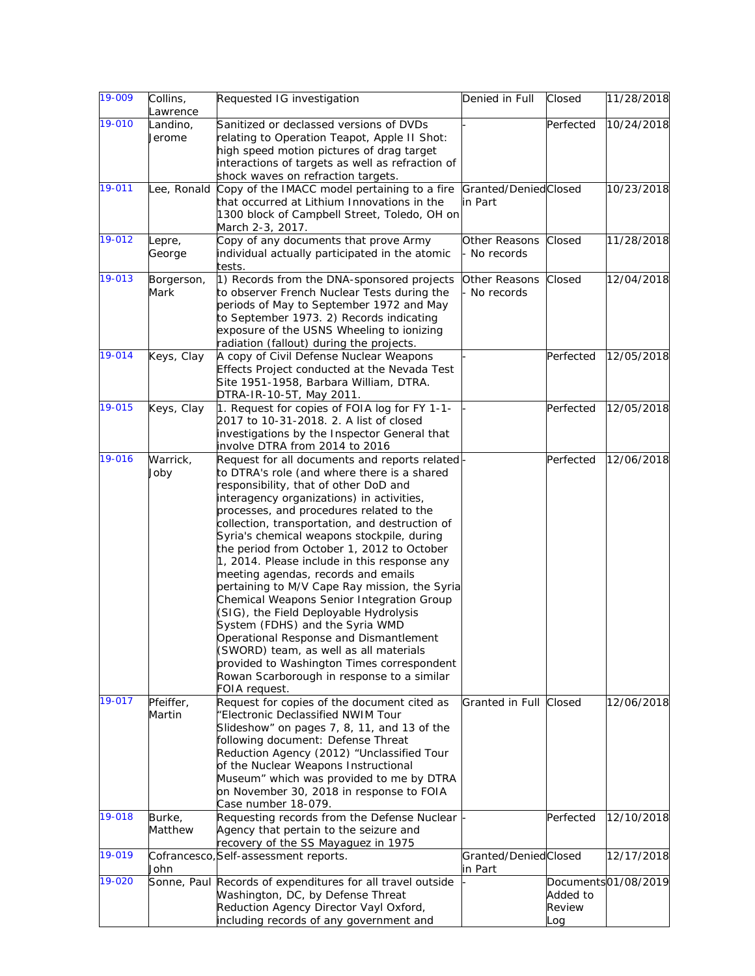| 19-009 | Collins,<br>_awrence | Requested IG investigation                                                                                                                                                                                                                                                                                                                                                                                                                                                                                                                                                                                                                                                                                                                                                                                                                      | Denied in Full                  | Closed                    | 11/28/2018          |
|--------|----------------------|-------------------------------------------------------------------------------------------------------------------------------------------------------------------------------------------------------------------------------------------------------------------------------------------------------------------------------------------------------------------------------------------------------------------------------------------------------------------------------------------------------------------------------------------------------------------------------------------------------------------------------------------------------------------------------------------------------------------------------------------------------------------------------------------------------------------------------------------------|---------------------------------|---------------------------|---------------------|
| 19-010 | Landino,             | Sanitized or declassed versions of DVDs                                                                                                                                                                                                                                                                                                                                                                                                                                                                                                                                                                                                                                                                                                                                                                                                         |                                 | Perfected                 | 10/24/2018          |
|        | Jerome               | relating to Operation Teapot, Apple II Shot:<br>high speed motion pictures of drag target<br>interactions of targets as well as refraction of<br>shock waves on refraction targets.                                                                                                                                                                                                                                                                                                                                                                                                                                                                                                                                                                                                                                                             |                                 |                           |                     |
| 19-011 | Lee, Ronald          | Copy of the IMACC model pertaining to a fire<br>that occurred at Lithium Innovations in the<br>1300 block of Campbell Street, Toledo, OH on<br>March 2-3, 2017.                                                                                                                                                                                                                                                                                                                                                                                                                                                                                                                                                                                                                                                                                 | Granted/DeniedClosed<br>in Part |                           | 10/23/2018          |
| 19-012 | Lepre,<br>George     | Copy of any documents that prove Army<br>individual actually participated in the atomic<br>tests.                                                                                                                                                                                                                                                                                                                                                                                                                                                                                                                                                                                                                                                                                                                                               | Other Reasons<br>No records     | Closed                    | 11/28/2018          |
| 19-013 | Borgerson,<br>Mark   | 1) Records from the DNA-sponsored projects<br>to observer French Nuclear Tests during the<br>periods of May to September 1972 and May<br>to September 1973. 2) Records indicating<br>exposure of the USNS Wheeling to ionizing<br>radiation (fallout) during the projects.                                                                                                                                                                                                                                                                                                                                                                                                                                                                                                                                                                      | Other Reasons<br>Mo records     | Closed                    | 12/04/2018          |
| 19-014 | Keys, Clay           | A copy of Civil Defense Nuclear Weapons<br>Effects Project conducted at the Nevada Test<br>Site 1951-1958, Barbara William, DTRA.<br>DTRA-IR-10-5T, May 2011.                                                                                                                                                                                                                                                                                                                                                                                                                                                                                                                                                                                                                                                                                   |                                 | Perfected                 | 12/05/2018          |
| 19-015 | Keys, Clay           | 1. Request for copies of FOIA log for FY 1-1-<br>2017 to 10-31-2018. 2. A list of closed<br>investigations by the Inspector General that<br>involve DTRA from 2014 to 2016                                                                                                                                                                                                                                                                                                                                                                                                                                                                                                                                                                                                                                                                      |                                 | Perfected                 | 12/05/2018          |
| 19-016 | Warrick,<br>Joby     | Request for all documents and reports related<br>to DTRA's role (and where there is a shared<br>responsibility, that of other DoD and<br>interagency organizations) in activities,<br>processes, and procedures related to the<br>collection, transportation, and destruction of<br>Syria's chemical weapons stockpile, during<br>the period from October 1, 2012 to October<br>1, 2014. Please include in this response any<br>meeting agendas, records and emails<br>pertaining to M/V Cape Ray mission, the Syria<br>Chemical Weapons Senior Integration Group<br>(SIG), the Field Deployable Hydrolysis<br>System (FDHS) and the Syria WMD<br>Operational Response and Dismantlement<br>(SWORD) team, as well as all materials<br>provided to Washington Times correspondent<br>Rowan Scarborough in response to a similar<br>FOIA request. |                                 | Perfected                 | 12/06/2018          |
| 19-017 | Pfeiffer,<br>Martin  | Request for copies of the document cited as<br>"Electronic Declassified NWIM Tour<br>Slideshow" on pages 7, 8, 11, and 13 of the<br>following document: Defense Threat<br>Reduction Agency (2012) "Unclassified Tour<br>of the Nuclear Weapons Instructional<br>Museum" which was provided to me by DTRA<br>on November 30, 2018 in response to FOIA<br>Case number 18-079.                                                                                                                                                                                                                                                                                                                                                                                                                                                                     | Granted in Full                 | Closed                    | 12/06/2018          |
| 19-018 | Burke,<br>Matthew    | Requesting records from the Defense Nuclear<br>Agency that pertain to the seizure and<br>recovery of the SS Mayaguez in 1975                                                                                                                                                                                                                                                                                                                                                                                                                                                                                                                                                                                                                                                                                                                    |                                 | Perfected                 | 12/10/2018          |
| 19-019 | John                 | Cofrancesco, Self-assessment reports.                                                                                                                                                                                                                                                                                                                                                                                                                                                                                                                                                                                                                                                                                                                                                                                                           | Granted/DeniedClosed<br>in Part |                           | 12/17/2018          |
| 19-020 |                      | Sonne, Paul Records of expenditures for all travel outside<br>Washington, DC, by Defense Threat<br>Reduction Agency Director Vayl Oxford,<br>including records of any government and                                                                                                                                                                                                                                                                                                                                                                                                                                                                                                                                                                                                                                                            |                                 | Added to<br>Review<br>Log | Documents01/08/2019 |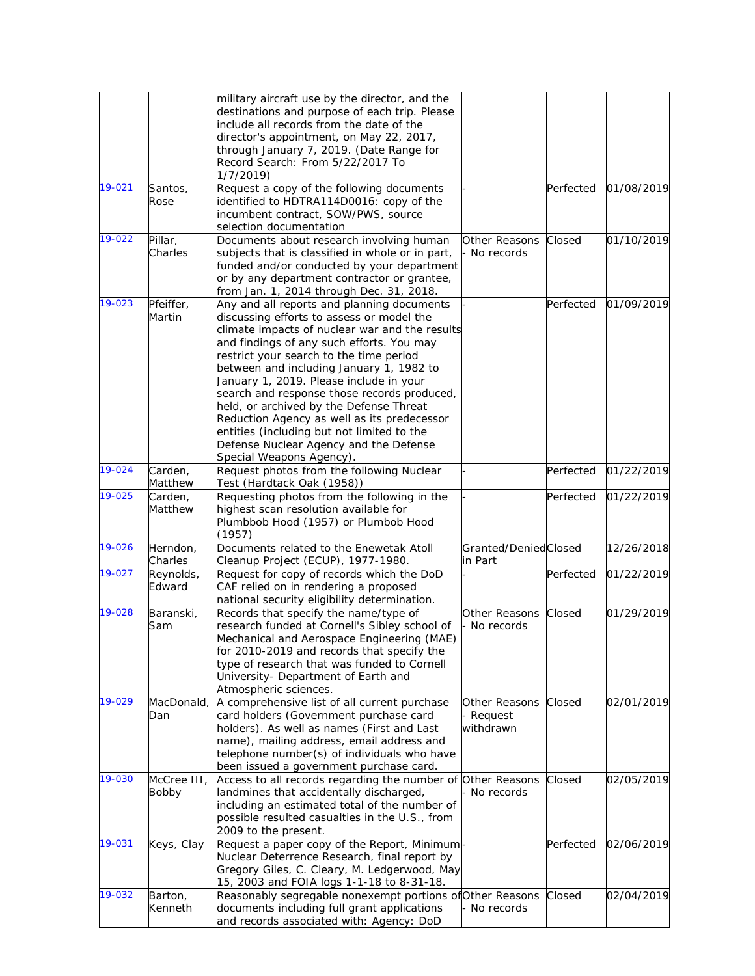|        |                  | military aircraft use by the director, and the                                            |                             |           |            |
|--------|------------------|-------------------------------------------------------------------------------------------|-----------------------------|-----------|------------|
|        |                  | destinations and purpose of each trip. Please<br>include all records from the date of the |                             |           |            |
|        |                  | director's appointment, on May 22, 2017,                                                  |                             |           |            |
|        |                  | through January 7, 2019. (Date Range for                                                  |                             |           |            |
|        |                  | Record Search: From 5/22/2017 To                                                          |                             |           |            |
| 19-021 | Santos,          | 1/7/2019)<br>Request a copy of the following documents                                    |                             | Perfected | 01/08/2019 |
|        | Rose             | identified to HDTRA114D0016: copy of the                                                  |                             |           |            |
|        |                  | incumbent contract, SOW/PWS, source                                                       |                             |           |            |
|        |                  | selection documentation                                                                   |                             |           |            |
| 19-022 | Pillar,          | Documents about research involving human                                                  | <b>Other Reasons</b>        | Closed    | 01/10/2019 |
|        | Charles          | subjects that is classified in whole or in part,                                          | · No records                |           |            |
|        |                  | funded and/or conducted by your department                                                |                             |           |            |
|        |                  | or by any department contractor or grantee,                                               |                             |           |            |
| 19-023 | Pfeiffer,        | from Jan. 1, 2014 through Dec. 31, 2018.<br>Any and all reports and planning documents    |                             | Perfected | 01/09/2019 |
|        | Martin           | discussing efforts to assess or model the                                                 |                             |           |            |
|        |                  | climate impacts of nuclear war and the results                                            |                             |           |            |
|        |                  | and findings of any such efforts. You may                                                 |                             |           |            |
|        |                  | restrict your search to the time period                                                   |                             |           |            |
|        |                  | between and including January 1, 1982 to                                                  |                             |           |            |
|        |                  | January 1, 2019. Please include in your                                                   |                             |           |            |
|        |                  | search and response those records produced,                                               |                             |           |            |
|        |                  | held, or archived by the Defense Threat<br>Reduction Agency as well as its predecessor    |                             |           |            |
|        |                  | entities (including but not limited to the                                                |                             |           |            |
|        |                  | Defense Nuclear Agency and the Defense                                                    |                             |           |            |
|        |                  | Special Weapons Agency).                                                                  |                             |           |            |
| 19-024 | Carden,          | Request photos from the following Nuclear                                                 |                             | Perfected | 01/22/2019 |
|        | Matthew          | Test (Hardtack Oak (1958))                                                                |                             |           |            |
| 19-025 | Carden,          | Requesting photos from the following in the                                               |                             | Perfected | 01/22/2019 |
|        | Matthew          | highest scan resolution available for<br>Plumbbob Hood (1957) or Plumbob Hood             |                             |           |            |
|        |                  | (1957)                                                                                    |                             |           |            |
| 19-026 | Herndon,         | Documents related to the Enewetak Atoll                                                   | Granted/DeniedClosed        |           | 12/26/2018 |
|        | Charles          | Cleanup Project (ECUP), 1977-1980.                                                        | in Part                     |           |            |
| 19-027 | Reynolds,        | Request for copy of records which the DoD                                                 |                             | Perfected | 01/22/2019 |
|        | Edward           | CAF relied on in rendering a proposed                                                     |                             |           |            |
| 19-028 |                  | national security eligibility determination.                                              |                             |           | 01/29/2019 |
|        | Baranski,<br>Sam | Records that specify the name/type of<br>research funded at Cornell's Sibley school of    | Other Reasons<br>No records | Closed    |            |
|        |                  | Mechanical and Aerospace Engineering (MAE)                                                |                             |           |            |
|        |                  | for 2010-2019 and records that specify the                                                |                             |           |            |
|        |                  | type of research that was funded to Cornell                                               |                             |           |            |
|        |                  | University- Department of Earth and                                                       |                             |           |            |
|        |                  | Atmospheric sciences.                                                                     |                             |           |            |
| 19-029 | MacDonald,       | A comprehensive list of all current purchase                                              | Other Reasons               | Closed    | 02/01/2019 |
|        | Dan              | card holders (Government purchase card<br>holders). As well as names (First and Last      | Request<br>withdrawn        |           |            |
|        |                  | name), mailing address, email address and                                                 |                             |           |            |
|        |                  | telephone number(s) of individuals who have                                               |                             |           |            |
|        |                  | been issued a government purchase card.                                                   |                             |           |            |
| 19-030 | McCree III.      | Access to all records regarding the number of Other Reasons                               |                             | Closed    | 02/05/2019 |
|        | Bobby            | landmines that accidentally discharged,                                                   | - No records                |           |            |
|        |                  | including an estimated total of the number of                                             |                             |           |            |
|        |                  | possible resulted casualties in the U.S., from                                            |                             |           |            |
| 19-031 | Keys, Clay       | 2009 to the present.<br>Request a paper copy of the Report, Minimum                       |                             | Perfected | 02/06/2019 |
|        |                  | Nuclear Deterrence Research, final report by                                              |                             |           |            |
|        |                  | Gregory Giles, C. Cleary, M. Ledgerwood, May                                              |                             |           |            |
|        |                  | 15, 2003 and FOIA logs 1-1-18 to 8-31-18.                                                 |                             |           |            |
| 19-032 | Barton,          | Reasonably segregable nonexempt portions of Other Reasons                                 |                             | Closed    | 02/04/2019 |
|        | Kenneth          | documents including full grant applications                                               | - No records                |           |            |
|        |                  | and records associated with: Agency: DoD                                                  |                             |           |            |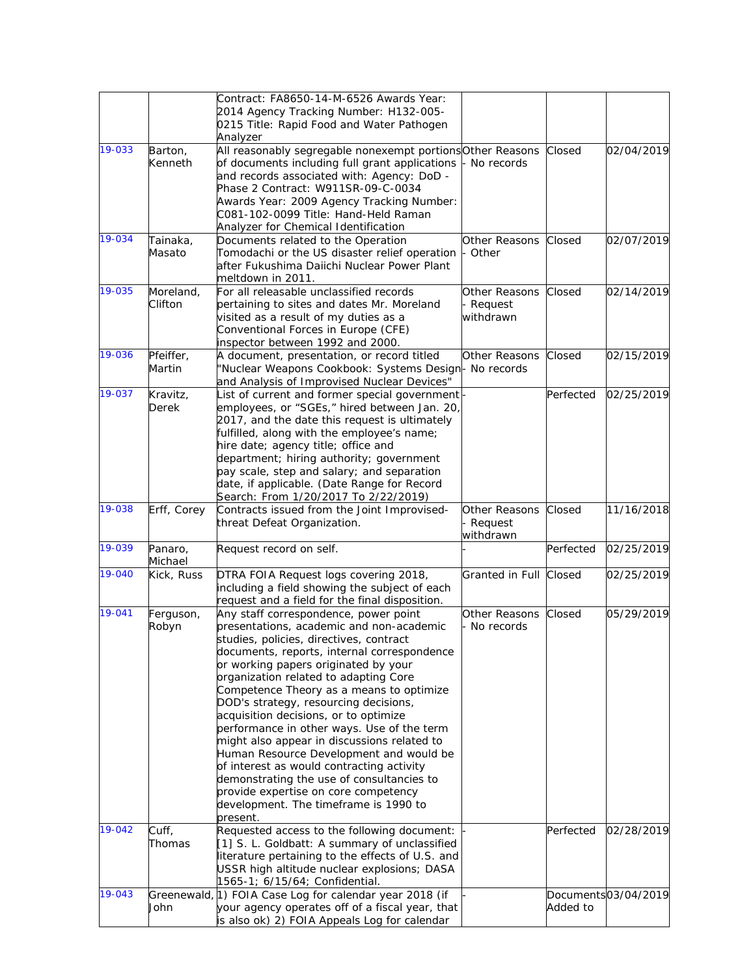|        |                   | Contract: FA8650-14-M-6526 Awards Year:                                                             |                        |           |                     |
|--------|-------------------|-----------------------------------------------------------------------------------------------------|------------------------|-----------|---------------------|
|        |                   | 2014 Agency Tracking Number: H132-005-                                                              |                        |           |                     |
|        |                   | 0215 Title: Rapid Food and Water Pathogen                                                           |                        |           |                     |
|        |                   | Analyzer                                                                                            |                        |           |                     |
| 19-033 | Barton,           | All reasonably segregable nonexempt portions Other Reasons                                          |                        | Closed    | 02/04/2019          |
|        | Kenneth           | of documents including full grant applications                                                      | No records             |           |                     |
|        |                   | and records associated with: Agency: DoD -                                                          |                        |           |                     |
|        |                   | Phase 2 Contract: W911SR-09-C-0034                                                                  |                        |           |                     |
|        |                   | Awards Year: 2009 Agency Tracking Number:                                                           |                        |           |                     |
|        |                   | C081-102-0099 Title: Hand-Held Raman                                                                |                        |           |                     |
|        |                   | Analyzer for Chemical Identification                                                                |                        |           |                     |
| 19-034 | Tainaka,          | Documents related to the Operation                                                                  | Other Reasons          | Closed    | 02/07/2019          |
|        | Masato            | Tomodachi or the US disaster relief operation                                                       | Other                  |           |                     |
|        |                   | after Fukushima Daiichi Nuclear Power Plant                                                         |                        |           |                     |
|        |                   | meltdown in 2011.                                                                                   |                        |           |                     |
| 19-035 | Moreland,         | For all releasable unclassified records                                                             | <b>Other Reasons</b>   | Closed    | 02/14/2019          |
|        | Clifton           | pertaining to sites and dates Mr. Moreland                                                          | Request                |           |                     |
|        |                   | visited as a result of my duties as a                                                               | withdrawn              |           |                     |
|        |                   | Conventional Forces in Europe (CFE)                                                                 |                        |           |                     |
| 19-036 |                   | inspector between 1992 and 2000.                                                                    |                        |           |                     |
|        | Pfeiffer,         | A document, presentation, or record titled<br>'Nuclear Weapons Cookbook: Systems Design- No records | Other Reasons          | Closed    | 02/15/2019          |
|        | Martin            |                                                                                                     |                        |           |                     |
| 19-037 |                   | and Analysis of Improvised Nuclear Devices"<br>List of current and former special government        |                        | Perfected | 02/25/2019          |
|        | Kravitz,<br>Derek | employees, or "SGEs," hired between Jan. 20,                                                        |                        |           |                     |
|        |                   | 2017, and the date this request is ultimately                                                       |                        |           |                     |
|        |                   | fulfilled, along with the employee's name;                                                          |                        |           |                     |
|        |                   | hire date; agency title; office and                                                                 |                        |           |                     |
|        |                   | department; hiring authority; government                                                            |                        |           |                     |
|        |                   | pay scale, step and salary; and separation                                                          |                        |           |                     |
|        |                   | date, if applicable. (Date Range for Record                                                         |                        |           |                     |
|        |                   | Search: From 1/20/2017 To 2/22/2019)                                                                |                        |           |                     |
| 19-038 | Erff, Corey       | Contracts issued from the Joint Improvised-                                                         | Other Reasons          | Closed    | 11/16/2018          |
|        |                   | threat Defeat Organization.                                                                         | Request                |           |                     |
|        |                   |                                                                                                     | withdrawn              |           |                     |
| 19-039 | Panaro,           | Request record on self.                                                                             |                        | Perfected | 02/25/2019          |
|        | Michael           |                                                                                                     |                        |           |                     |
| 19-040 | Kick, Russ        | DTRA FOIA Request logs covering 2018,                                                               | Granted in Full Closed |           | 02/25/2019          |
|        |                   | including a field showing the subject of each                                                       |                        |           |                     |
|        |                   | request and a field for the final disposition.                                                      |                        |           |                     |
| 19-041 | Ferguson,         | Any staff correspondence, power point                                                               | Other Reasons          | Closed    | 05/29/2019          |
|        | Robyn             | presentations, academic and non-academic                                                            | No records             |           |                     |
|        |                   | studies, policies, directives, contract                                                             |                        |           |                     |
|        |                   | documents, reports, internal correspondence                                                         |                        |           |                     |
|        |                   | or working papers originated by your                                                                |                        |           |                     |
|        |                   | organization related to adapting Core                                                               |                        |           |                     |
|        |                   | Competence Theory as a means to optimize                                                            |                        |           |                     |
|        |                   | DOD's strategy, resourcing decisions,                                                               |                        |           |                     |
|        |                   | acquisition decisions, or to optimize                                                               |                        |           |                     |
|        |                   | performance in other ways. Use of the term                                                          |                        |           |                     |
|        |                   | might also appear in discussions related to                                                         |                        |           |                     |
|        |                   | Human Resource Development and would be                                                             |                        |           |                     |
|        |                   | of interest as would contracting activity                                                           |                        |           |                     |
|        |                   | demonstrating the use of consultancies to                                                           |                        |           |                     |
|        |                   | provide expertise on core competency<br>development. The timeframe is 1990 to                       |                        |           |                     |
|        |                   |                                                                                                     |                        |           |                     |
| 19-042 | Cuff,             | present.<br>Requested access to the following document:                                             |                        | Perfected | 02/28/2019          |
|        | Thomas            | [1] S. L. Goldbatt: A summary of unclassified                                                       |                        |           |                     |
|        |                   | literature pertaining to the effects of U.S. and                                                    |                        |           |                     |
|        |                   | USSR high altitude nuclear explosions; DASA                                                         |                        |           |                     |
|        |                   | 1565-1; 6/15/64; Confidential.                                                                      |                        |           |                     |
| 19-043 |                   | Greenewald, 1) FOIA Case Log for calendar year 2018 (if                                             |                        |           | Documents03/04/2019 |
|        | John              | your agency operates off of a fiscal year, that                                                     |                        | Added to  |                     |
|        |                   | is also ok) 2) FOIA Appeals Log for calendar                                                        |                        |           |                     |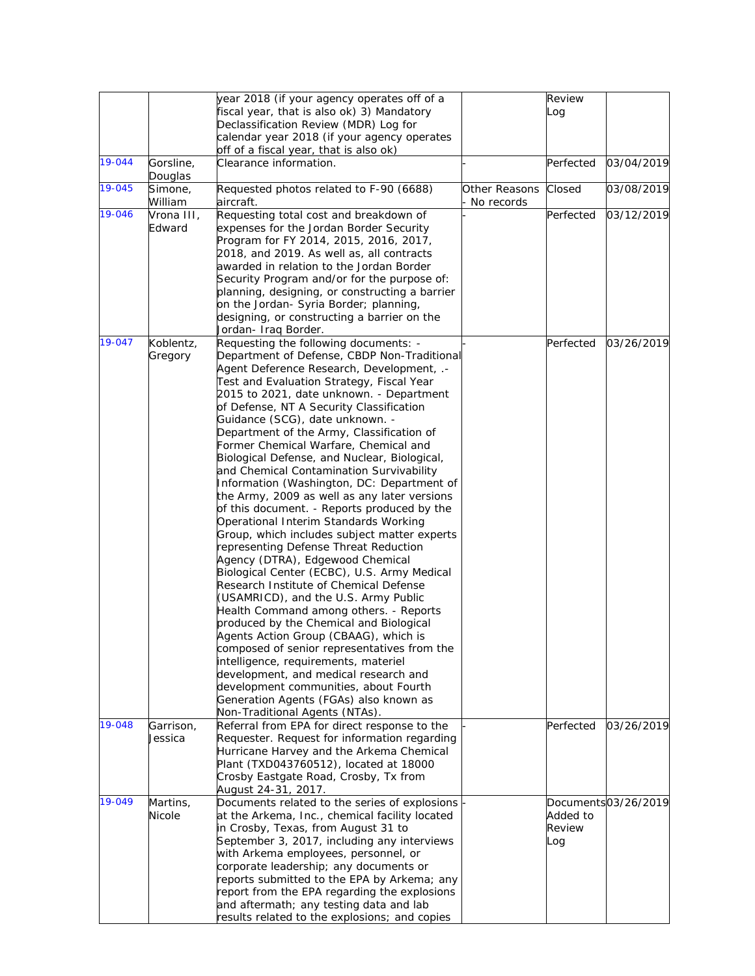|        |                      | year 2018 (if your agency operates off of a                                              |                             | Review    |                     |
|--------|----------------------|------------------------------------------------------------------------------------------|-----------------------------|-----------|---------------------|
|        |                      | fiscal year, that is also ok) 3) Mandatory                                               |                             | Log       |                     |
|        |                      | Declassification Review (MDR) Log for                                                    |                             |           |                     |
|        |                      | calendar year 2018 (if your agency operates<br>off of a fiscal year, that is also ok)    |                             |           |                     |
| 19-044 | Gorsline,<br>Douglas | Clearance information.                                                                   |                             | Perfected | 03/04/2019          |
| 19-045 | Simone,<br>William   | Requested photos related to F-90 (6688)<br>aircraft.                                     | Other Reasons<br>No records | Closed    | 03/08/2019          |
| 19-046 | Vrona III,           | Requesting total cost and breakdown of                                                   |                             | Perfected | 03/12/2019          |
|        | Edward               | expenses for the Jordan Border Security                                                  |                             |           |                     |
|        |                      | Program for FY 2014, 2015, 2016, 2017,                                                   |                             |           |                     |
|        |                      | 2018, and 2019. As well as, all contracts                                                |                             |           |                     |
|        |                      | awarded in relation to the Jordan Border                                                 |                             |           |                     |
|        |                      | Security Program and/or for the purpose of:                                              |                             |           |                     |
|        |                      | planning, designing, or constructing a barrier                                           |                             |           |                     |
|        |                      | on the Jordan- Syria Border; planning,                                                   |                             |           |                     |
|        |                      | designing, or constructing a barrier on the                                              |                             |           |                     |
|        |                      | Jordan- Iraq Border.                                                                     |                             |           |                     |
| 19-047 | Koblentz,            | Requesting the following documents: -                                                    |                             | Perfected | 03/26/2019          |
|        | Gregory              | Department of Defense, CBDP Non-Traditional                                              |                             |           |                     |
|        |                      | Agent Deference Research, Development, .-<br>Test and Evaluation Strategy, Fiscal Year   |                             |           |                     |
|        |                      | 2015 to 2021, date unknown. - Department                                                 |                             |           |                     |
|        |                      | of Defense, NT A Security Classification                                                 |                             |           |                     |
|        |                      | Guidance (SCG), date unknown. -                                                          |                             |           |                     |
|        |                      | Department of the Army, Classification of                                                |                             |           |                     |
|        |                      | Former Chemical Warfare, Chemical and                                                    |                             |           |                     |
|        |                      | Biological Defense, and Nuclear, Biological,                                             |                             |           |                     |
|        |                      | and Chemical Contamination Survivability                                                 |                             |           |                     |
|        |                      | Information (Washington, DC: Department of                                               |                             |           |                     |
|        |                      | the Army, 2009 as well as any later versions                                             |                             |           |                     |
|        |                      | of this document. - Reports produced by the                                              |                             |           |                     |
|        |                      | Operational Interim Standards Working                                                    |                             |           |                     |
|        |                      | Group, which includes subject matter experts                                             |                             |           |                     |
|        |                      | representing Defense Threat Reduction                                                    |                             |           |                     |
|        |                      | Agency (DTRA), Edgewood Chemical<br>Biological Center (ECBC), U.S. Army Medical          |                             |           |                     |
|        |                      | Research Institute of Chemical Defense                                                   |                             |           |                     |
|        |                      | (USAMRICD), and the U.S. Army Public                                                     |                             |           |                     |
|        |                      | Health Command among others. - Reports                                                   |                             |           |                     |
|        |                      | produced by the Chemical and Biological                                                  |                             |           |                     |
|        |                      | Agents Action Group (CBAAG), which is                                                    |                             |           |                     |
|        |                      | composed of senior representatives from the                                              |                             |           |                     |
|        |                      | intelligence, requirements, materiel                                                     |                             |           |                     |
|        |                      | development, and medical research and                                                    |                             |           |                     |
|        |                      | development communities, about Fourth                                                    |                             |           |                     |
|        |                      | Generation Agents (FGAs) also known as                                                   |                             |           |                     |
| 19-048 |                      | Non-Traditional Agents (NTAs).<br>Referral from EPA for direct response to the           |                             | Perfected | 03/26/2019          |
|        | Garrison,<br>Jessica | Requester. Request for information regarding                                             |                             |           |                     |
|        |                      | Hurricane Harvey and the Arkema Chemical                                                 |                             |           |                     |
|        |                      | Plant (TXD043760512), located at 18000                                                   |                             |           |                     |
|        |                      | Crosby Eastgate Road, Crosby, Tx from                                                    |                             |           |                     |
|        |                      | August 24-31, 2017.                                                                      |                             |           |                     |
| 19-049 | Martins,             | Documents related to the series of explosions                                            |                             |           | Documents03/26/2019 |
|        | Nicole               | at the Arkema, Inc., chemical facility located                                           |                             | Added to  |                     |
|        |                      | in Crosby, Texas, from August 31 to                                                      |                             | Review    |                     |
|        |                      | September 3, 2017, including any interviews                                              |                             | Log       |                     |
|        |                      | with Arkema employees, personnel, or                                                     |                             |           |                     |
|        |                      | corporate leadership; any documents or                                                   |                             |           |                     |
|        |                      | reports submitted to the EPA by Arkema; any                                              |                             |           |                     |
|        |                      | report from the EPA regarding the explosions                                             |                             |           |                     |
|        |                      | and aftermath; any testing data and lab<br>results related to the explosions; and copies |                             |           |                     |
|        |                      |                                                                                          |                             |           |                     |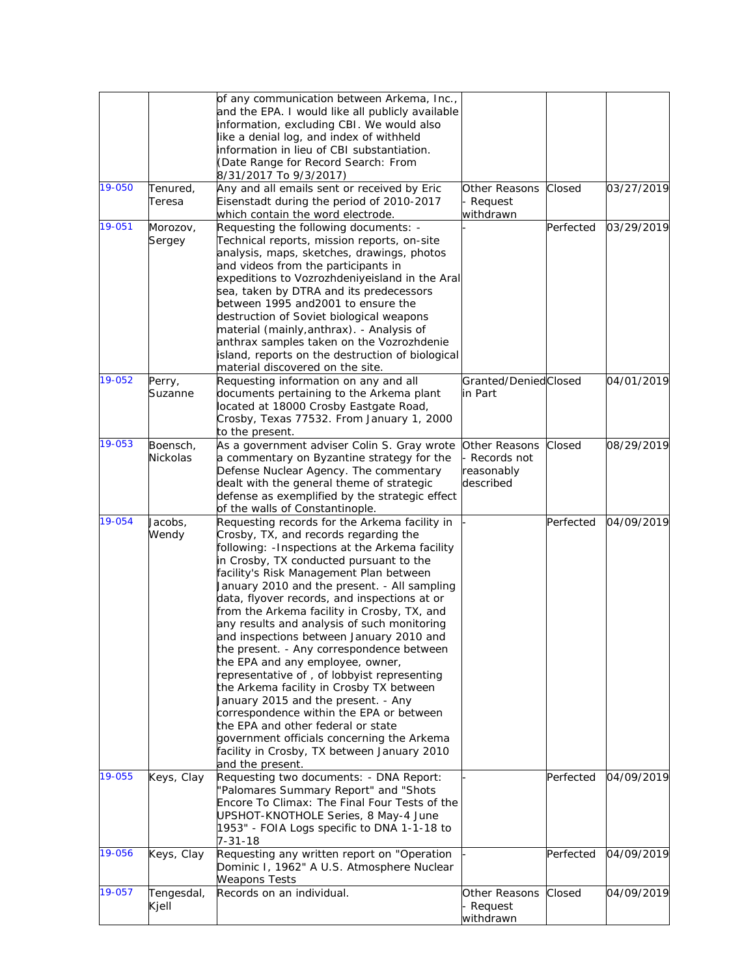|        |                      | of any communication between Arkema, Inc.,<br>and the EPA. I would like all publicly available<br>information, excluding CBI. We would also<br>like a denial log, and index of withheld<br>information in lieu of CBI substantiation.<br>(Date Range for Record Search: From<br>8/31/2017 To 9/3/2017)                                                                                                                                                                                                                                                                                                                                                                                                                                                                                                                                                                                          |                                                           |           |            |
|--------|----------------------|-------------------------------------------------------------------------------------------------------------------------------------------------------------------------------------------------------------------------------------------------------------------------------------------------------------------------------------------------------------------------------------------------------------------------------------------------------------------------------------------------------------------------------------------------------------------------------------------------------------------------------------------------------------------------------------------------------------------------------------------------------------------------------------------------------------------------------------------------------------------------------------------------|-----------------------------------------------------------|-----------|------------|
| 19-050 | Tenured,<br>Teresa   | Any and all emails sent or received by Eric<br>Eisenstadt during the period of 2010-2017<br>which contain the word electrode.                                                                                                                                                                                                                                                                                                                                                                                                                                                                                                                                                                                                                                                                                                                                                                   | Other Reasons<br>Request<br>withdrawn                     | Closed    | 03/27/2019 |
| 19-051 | Morozov,<br>Sergey   | Requesting the following documents: -<br>Technical reports, mission reports, on-site<br>analysis, maps, sketches, drawings, photos<br>and videos from the participants in<br>expeditions to Vozrozhdeniyeisland in the Aral<br>sea, taken by DTRA and its predecessors<br>between 1995 and 2001 to ensure the<br>destruction of Soviet biological weapons<br>material (mainly, anthrax). - Analysis of<br>anthrax samples taken on the Vozrozhdenie<br>island, reports on the destruction of biological<br>material discovered on the site.                                                                                                                                                                                                                                                                                                                                                     |                                                           | Perfected | 03/29/2019 |
| 19-052 | Perry,<br>Suzanne    | Requesting information on any and all<br>documents pertaining to the Arkema plant<br>located at 18000 Crosby Eastgate Road,<br>Crosby, Texas 77532. From January 1, 2000<br>to the present.                                                                                                                                                                                                                                                                                                                                                                                                                                                                                                                                                                                                                                                                                                     | Granted/DeniedClosed<br>in Part                           |           | 04/01/2019 |
| 19-053 | Boensch,<br>Nickolas | As a government adviser Colin S. Gray wrote<br>a commentary on Byzantine strategy for the<br>Defense Nuclear Agency. The commentary<br>dealt with the general theme of strategic<br>defense as exemplified by the strategic effect<br>of the walls of Constantinople.                                                                                                                                                                                                                                                                                                                                                                                                                                                                                                                                                                                                                           | Other Reasons<br>- Records not<br>reasonably<br>described | Closed    | 08/29/2019 |
| 19-054 | Jacobs,<br>Wendy     | Requesting records for the Arkema facility in<br>Crosby, TX, and records regarding the<br>following: - Inspections at the Arkema facility<br>in Crosby, TX conducted pursuant to the<br>facility's Risk Management Plan between<br>January 2010 and the present. - All sampling<br>data, flyover records, and inspections at or<br>from the Arkema facility in Crosby, TX, and<br>any results and analysis of such monitoring<br>and inspections between January 2010 and<br>the present. - Any correspondence between<br>the EPA and any employee, owner,<br>representative of, of lobbyist representing<br>the Arkema facility in Crosby TX between<br>January 2015 and the present. - Any<br>correspondence within the EPA or between<br>the EPA and other federal or state<br>government officials concerning the Arkema<br>facility in Crosby, TX between January 2010<br>and the present. |                                                           | Perfected | 04/09/2019 |
| 19-055 | Keys, Clay           | Requesting two documents: - DNA Report:<br>"Palomares Summary Report" and "Shots<br>Encore To Climax: The Final Four Tests of the<br>UPSHOT-KNOTHOLE Series, 8 May-4 June<br>1953" - FOIA Logs specific to DNA 1-1-18 to<br>$7 - 31 - 18$                                                                                                                                                                                                                                                                                                                                                                                                                                                                                                                                                                                                                                                       |                                                           | Perfected | 04/09/2019 |
| 19-056 | Keys, Clay           | Requesting any written report on "Operation<br>Dominic I, 1962" A U.S. Atmosphere Nuclear<br><b>Weapons Tests</b>                                                                                                                                                                                                                                                                                                                                                                                                                                                                                                                                                                                                                                                                                                                                                                               |                                                           | Perfected | 04/09/2019 |
| 19-057 | Tengesdal,<br>Kjell  | Records on an individual.                                                                                                                                                                                                                                                                                                                                                                                                                                                                                                                                                                                                                                                                                                                                                                                                                                                                       | Other Reasons<br>- Request<br>withdrawn                   | Closed    | 04/09/2019 |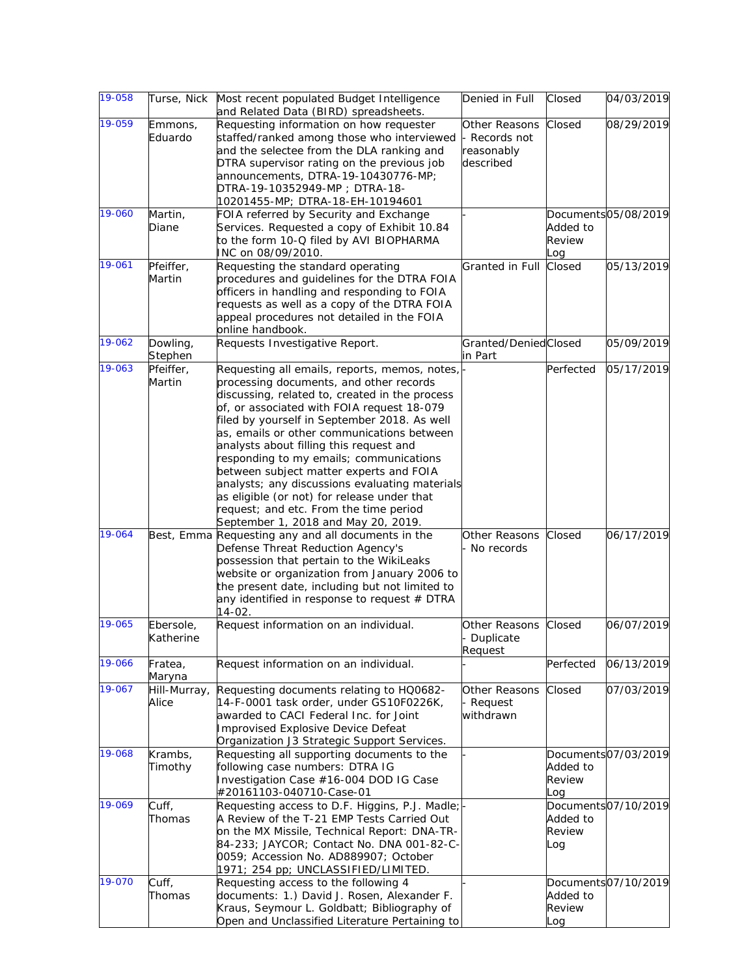| 19-058 |                        | Turse, Nick Most recent populated Budget Intelligence<br>and Related Data (BIRD) spreadsheets.                                                                                                                                                                                                                                                                                                                                                                                                                                                                                                            | Denied in Full                                          | Closed                    | 04/03/2019          |
|--------|------------------------|-----------------------------------------------------------------------------------------------------------------------------------------------------------------------------------------------------------------------------------------------------------------------------------------------------------------------------------------------------------------------------------------------------------------------------------------------------------------------------------------------------------------------------------------------------------------------------------------------------------|---------------------------------------------------------|---------------------------|---------------------|
| 19-059 | Emmons,<br>Eduardo     | Requesting information on how requester<br>staffed/ranked among those who interviewed<br>and the selectee from the DLA ranking and<br>DTRA supervisor rating on the previous job<br>announcements, DTRA-19-10430776-MP;<br>DTRA-19-10352949-MP; DTRA-18-<br>10201455-MP; DTRA-18-EH-10194601                                                                                                                                                                                                                                                                                                              | Other Reasons<br>Records not<br>reasonably<br>described | Closed                    | 08/29/2019          |
| 19-060 | Martin,<br>Diane       | FOIA referred by Security and Exchange<br>Services. Requested a copy of Exhibit 10.84<br>to the form 10-Q filed by AVI BIOPHARMA<br>INC on 08/09/2010.                                                                                                                                                                                                                                                                                                                                                                                                                                                    |                                                         | Added to<br>Review<br>Log | Documents05/08/2019 |
| 19-061 | Pfeiffer,<br>Martin    | Requesting the standard operating<br>procedures and guidelines for the DTRA FOIA<br>officers in handling and responding to FOIA<br>requests as well as a copy of the DTRA FOIA<br>appeal procedures not detailed in the FOIA<br>online handbook.                                                                                                                                                                                                                                                                                                                                                          | Granted in Full                                         | Closed                    | 05/13/2019          |
| 19-062 | Dowling,<br>Stephen    | Requests Investigative Report.                                                                                                                                                                                                                                                                                                                                                                                                                                                                                                                                                                            | Granted/DeniedClosed<br>in Part                         |                           | 05/09/2019          |
| 19-063 | Pfeiffer,<br>Martin    | Requesting all emails, reports, memos, notes,<br>processing documents, and other records<br>discussing, related to, created in the process<br>of, or associated with FOIA request 18-079<br>filed by yourself in September 2018. As well<br>as, emails or other communications between<br>analysts about filling this request and<br>responding to my emails; communications<br>between subject matter experts and FOIA<br>analysts; any discussions evaluating materials<br>as eligible (or not) for release under that<br>request; and etc. From the time period<br>September 1, 2018 and May 20, 2019. |                                                         | Perfected                 | 05/17/2019          |
| 19-064 |                        | Best, Emma Requesting any and all documents in the<br>Defense Threat Reduction Agency's<br>possession that pertain to the WikiLeaks<br>website or organization from January 2006 to<br>the present date, including but not limited to<br>any identified in response to request # DTRA<br>$14 - 02$ .                                                                                                                                                                                                                                                                                                      | Other Reasons<br>No records                             | Closed                    | 06/17/2019          |
| 19-065 | Ebersole,<br>Katherine | Request information on an individual.                                                                                                                                                                                                                                                                                                                                                                                                                                                                                                                                                                     | Other Reasons<br>- Duplicate<br>Request                 | Closed                    | 06/07/2019          |
| 19-066 | Fratea,<br>Maryna      | Request information on an individual.                                                                                                                                                                                                                                                                                                                                                                                                                                                                                                                                                                     |                                                         | Perfected                 | 06/13/2019          |
| 19-067 | Hill-Murray,<br>Alice  | Requesting documents relating to HQ0682-<br>14-F-0001 task order, under GS10F0226K,<br>awarded to CACI Federal Inc. for Joint<br>Improvised Explosive Device Defeat<br>Organization J3 Strategic Support Services.                                                                                                                                                                                                                                                                                                                                                                                        | Other Reasons<br>- Request<br>withdrawn                 | Closed                    | 07/03/2019          |
| 19-068 | Krambs,<br>Timothy     | Requesting all supporting documents to the<br>following case numbers: DTRA IG<br>Investigation Case #16-004 DOD IG Case<br>#20161103-040710-Case-01                                                                                                                                                                                                                                                                                                                                                                                                                                                       |                                                         | Added to<br>Review<br>Log | Documents07/03/2019 |
| 19-069 | Cuff,<br>Thomas        | Requesting access to D.F. Higgins, P.J. Madle;<br>A Review of the T-21 EMP Tests Carried Out<br>on the MX Missile, Technical Report: DNA-TR-<br>84-233; JAYCOR; Contact No. DNA 001-82-C-<br>0059; Accession No. AD889907; October<br>1971; 254 pp; UNCLASSIFIED/LIMITED.                                                                                                                                                                                                                                                                                                                                 |                                                         | Added to<br>Review<br>Log | Documents07/10/2019 |
| 19-070 | Cuff,<br>Thomas        | Requesting access to the following 4<br>documents: 1.) David J. Rosen, Alexander F.<br>Kraus, Seymour L. Goldbatt; Bibliography of<br>Open and Unclassified Literature Pertaining to                                                                                                                                                                                                                                                                                                                                                                                                                      |                                                         | Added to<br>Review<br>Log | Documents07/10/2019 |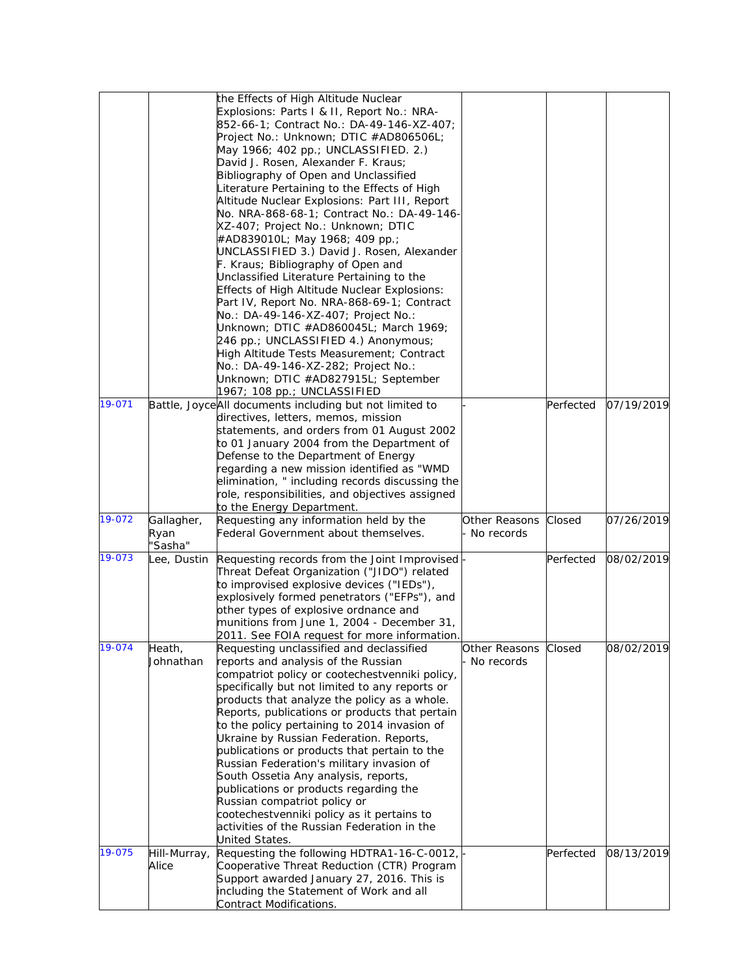|        |                 | the Effects of High Altitude Nuclear                                         |               |           |            |
|--------|-----------------|------------------------------------------------------------------------------|---------------|-----------|------------|
|        |                 | Explosions: Parts I & II, Report No.: NRA-                                   |               |           |            |
|        |                 | 852-66-1; Contract No.: DA-49-146-XZ-407;                                    |               |           |            |
|        |                 | Project No.: Unknown; DTIC #AD806506L;                                       |               |           |            |
|        |                 | May 1966; 402 pp.; UNCLASSIFIED. 2.)                                         |               |           |            |
|        |                 | David J. Rosen, Alexander F. Kraus;                                          |               |           |            |
|        |                 |                                                                              |               |           |            |
|        |                 | Bibliography of Open and Unclassified                                        |               |           |            |
|        |                 | Literature Pertaining to the Effects of High                                 |               |           |            |
|        |                 | Altitude Nuclear Explosions: Part III, Report                                |               |           |            |
|        |                 | No. NRA-868-68-1; Contract No.: DA-49-146-                                   |               |           |            |
|        |                 | XZ-407; Project No.: Unknown; DTIC                                           |               |           |            |
|        |                 | #AD839010L; May 1968; 409 pp.;                                               |               |           |            |
|        |                 | UNCLASSIFIED 3.) David J. Rosen, Alexander                                   |               |           |            |
|        |                 | F. Kraus; Bibliography of Open and                                           |               |           |            |
|        |                 | Unclassified Literature Pertaining to the                                    |               |           |            |
|        |                 | Effects of High Altitude Nuclear Explosions:                                 |               |           |            |
|        |                 | Part IV, Report No. NRA-868-69-1; Contract                                   |               |           |            |
|        |                 | No.: DA-49-146-XZ-407; Project No.:                                          |               |           |            |
|        |                 | Unknown; DTIC #AD860045L; March 1969;                                        |               |           |            |
|        |                 | 246 pp.; UNCLASSIFIED 4.) Anonymous;                                         |               |           |            |
|        |                 | High Altitude Tests Measurement; Contract                                    |               |           |            |
|        |                 | No.: DA-49-146-XZ-282; Project No.:                                          |               |           |            |
|        |                 | Unknown; DTIC #AD827915L; September                                          |               |           |            |
|        |                 | 1967; 108 pp.; UNCLASSIFIED                                                  |               |           |            |
| 19-071 |                 | Battle, JoyceAll documents including but not limited to                      |               | Perfected | 07/19/2019 |
|        |                 | directives, letters, memos, mission                                          |               |           |            |
|        |                 | statements, and orders from 01 August 2002                                   |               |           |            |
|        |                 | to 01 January 2004 from the Department of                                    |               |           |            |
|        |                 | Defense to the Department of Energy                                          |               |           |            |
|        |                 | regarding a new mission identified as "WMD                                   |               |           |            |
|        |                 | elimination, " including records discussing the                              |               |           |            |
|        |                 |                                                                              |               |           |            |
|        |                 | role, responsibilities, and objectives assigned<br>to the Energy Department. |               |           |            |
| 19-072 | Gallagher,      | Requesting any information held by the                                       | Other Reasons | Closed    | 07/26/2019 |
|        |                 | Federal Government about themselves.                                         | No records    |           |            |
|        | Ryan<br>'Sasha" |                                                                              |               |           |            |
| 19-073 |                 |                                                                              |               | Perfected | 08/02/2019 |
|        | ee, Dustin_     | Requesting records from the Joint Improvised                                 |               |           |            |
|        |                 | Threat Defeat Organization ("JIDO") related                                  |               |           |            |
|        |                 | to improvised explosive devices ("IEDs"),                                    |               |           |            |
|        |                 | explosively formed penetrators ("EFPs"), and                                 |               |           |            |
|        |                 | other types of explosive ordnance and                                        |               |           |            |
|        |                 | munitions from June 1, 2004 - December 31,                                   |               |           |            |
|        |                 | 2011. See FOIA request for more information                                  |               |           |            |
| 19-074 | Heath,          | Requesting unclassified and declassified                                     | Other Reasons | Closed    | 08/02/2019 |
|        | Johnathan       | reports and analysis of the Russian                                          | No records    |           |            |
|        |                 | compatriot policy or cootechestvenniki policy,                               |               |           |            |
|        |                 | specifically but not limited to any reports or                               |               |           |            |
|        |                 | products that analyze the policy as a whole.                                 |               |           |            |
|        |                 | Reports, publications or products that pertain                               |               |           |            |
|        |                 | to the policy pertaining to 2014 invasion of                                 |               |           |            |
|        |                 | Ukraine by Russian Federation. Reports,                                      |               |           |            |
|        |                 | publications or products that pertain to the                                 |               |           |            |
|        |                 | Russian Federation's military invasion of                                    |               |           |            |
|        |                 | South Ossetia Any analysis, reports,                                         |               |           |            |
|        |                 | publications or products regarding the                                       |               |           |            |
|        |                 | Russian compatriot policy or                                                 |               |           |            |
|        |                 | cootechestvenniki policy as it pertains to                                   |               |           |            |
|        |                 | activities of the Russian Federation in the                                  |               |           |            |
|        |                 | United States.                                                               |               |           |            |
| 19-075 | Hill-Murray,    | Requesting the following HDTRA1-16-C-0012,                                   |               | Perfected | 08/13/2019 |
|        | Alice           | Cooperative Threat Reduction (CTR) Program                                   |               |           |            |
|        |                 | Support awarded January 27, 2016. This is                                    |               |           |            |
|        |                 | including the Statement of Work and all                                      |               |           |            |
|        |                 | Contract Modifications.                                                      |               |           |            |
|        |                 |                                                                              |               |           |            |